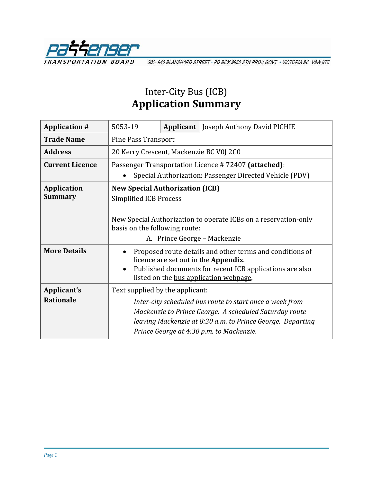

202-940 BLANSHARD STREET · PO BOX 9850 STN PROV GOVT · VICTORIA BC V8W 9T5

## Inter-City Bus (ICB) **Application Summary**

| <b>Application #</b>   | 5053-19                                                                                                                          |  | <b>Applicant</b>   Joseph Anthony David PICHIE                                                                                                                                                                               |
|------------------------|----------------------------------------------------------------------------------------------------------------------------------|--|------------------------------------------------------------------------------------------------------------------------------------------------------------------------------------------------------------------------------|
| <b>Trade Name</b>      | <b>Pine Pass Transport</b>                                                                                                       |  |                                                                                                                                                                                                                              |
| <b>Address</b>         | 20 Kerry Crescent, Mackenzie BC V0J 2C0                                                                                          |  |                                                                                                                                                                                                                              |
| <b>Current Licence</b> | Passenger Transportation Licence #72407 (attached):                                                                              |  |                                                                                                                                                                                                                              |
|                        | Special Authorization: Passenger Directed Vehicle (PDV)                                                                          |  |                                                                                                                                                                                                                              |
| <b>Application</b>     | <b>New Special Authorization (ICB)</b>                                                                                           |  |                                                                                                                                                                                                                              |
| <b>Summary</b>         | <b>Simplified ICB Process</b>                                                                                                    |  |                                                                                                                                                                                                                              |
|                        | New Special Authorization to operate ICBs on a reservation-only<br>basis on the following route:<br>A. Prince George - Mackenzie |  |                                                                                                                                                                                                                              |
| <b>More Details</b>    | $\bullet$                                                                                                                        |  | Proposed route details and other terms and conditions of<br>licence are set out in the Appendix.<br>Published documents for recent ICB applications are also<br>listed on the bus application webpage.                       |
| Applicant's            | Text supplied by the applicant:                                                                                                  |  |                                                                                                                                                                                                                              |
| <b>Rationale</b>       |                                                                                                                                  |  | Inter-city scheduled bus route to start once a week from<br>Mackenzie to Prince George. A scheduled Saturday route<br>leaving Mackenzie at 8:30 a.m. to Prince George. Departing<br>Prince George at 4:30 p.m. to Mackenzie. |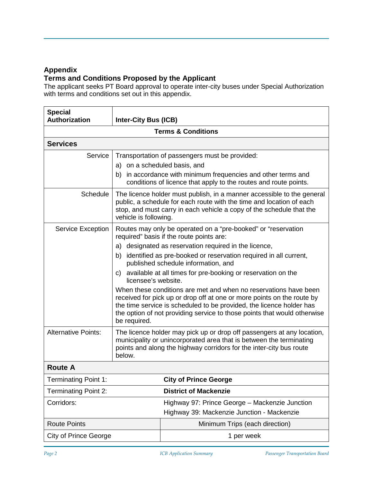### **Appendix**

### **Terms and Conditions Proposed by the Applicant**

The applicant seeks PT Board approval to operate inter-city buses under Special Authorization with terms and conditions set out in this appendix.

| <b>Special</b><br><b>Authorization</b> | <b>Inter-City Bus (ICB)</b>                                                                                                                                                                                                                                                                                    |                                                                                                                                                                                  |  |  |
|----------------------------------------|----------------------------------------------------------------------------------------------------------------------------------------------------------------------------------------------------------------------------------------------------------------------------------------------------------------|----------------------------------------------------------------------------------------------------------------------------------------------------------------------------------|--|--|
| <b>Terms &amp; Conditions</b>          |                                                                                                                                                                                                                                                                                                                |                                                                                                                                                                                  |  |  |
| <b>Services</b>                        |                                                                                                                                                                                                                                                                                                                |                                                                                                                                                                                  |  |  |
| Service                                | a) on a scheduled basis, and<br>b)                                                                                                                                                                                                                                                                             | Transportation of passengers must be provided:<br>in accordance with minimum frequencies and other terms and<br>conditions of licence that apply to the routes and route points. |  |  |
| Schedule                               | The licence holder must publish, in a manner accessible to the general<br>public, a schedule for each route with the time and location of each<br>stop, and must carry in each vehicle a copy of the schedule that the<br>vehicle is following.                                                                |                                                                                                                                                                                  |  |  |
| <b>Service Exception</b>               | Routes may only be operated on a "pre-booked" or "reservation<br>required" basis if the route points are:                                                                                                                                                                                                      |                                                                                                                                                                                  |  |  |
|                                        |                                                                                                                                                                                                                                                                                                                | a) designated as reservation required in the licence,                                                                                                                            |  |  |
|                                        | b)                                                                                                                                                                                                                                                                                                             | identified as pre-booked or reservation required in all current,<br>published schedule information, and                                                                          |  |  |
|                                        | c) available at all times for pre-booking or reservation on the<br>licensee's website.                                                                                                                                                                                                                         |                                                                                                                                                                                  |  |  |
|                                        | When these conditions are met and when no reservations have been<br>received for pick up or drop off at one or more points on the route by<br>the time service is scheduled to be provided, the licence holder has<br>the option of not providing service to those points that would otherwise<br>be required. |                                                                                                                                                                                  |  |  |
| <b>Alternative Points:</b>             | The licence holder may pick up or drop off passengers at any location,<br>municipality or unincorporated area that is between the terminating<br>points and along the highway corridors for the inter-city bus route<br>below.                                                                                 |                                                                                                                                                                                  |  |  |
| <b>Route A</b>                         |                                                                                                                                                                                                                                                                                                                |                                                                                                                                                                                  |  |  |
| <b>Terminating Point 1:</b>            |                                                                                                                                                                                                                                                                                                                | <b>City of Prince George</b>                                                                                                                                                     |  |  |
| <b>Terminating Point 2:</b>            |                                                                                                                                                                                                                                                                                                                | <b>District of Mackenzie</b>                                                                                                                                                     |  |  |
| Corridors:                             |                                                                                                                                                                                                                                                                                                                | Highway 97: Prince George - Mackenzie Junction<br>Highway 39: Mackenzie Junction - Mackenzie                                                                                     |  |  |
| <b>Route Points</b>                    |                                                                                                                                                                                                                                                                                                                | Minimum Trips (each direction)                                                                                                                                                   |  |  |
| <b>City of Prince George</b>           |                                                                                                                                                                                                                                                                                                                | 1 per week                                                                                                                                                                       |  |  |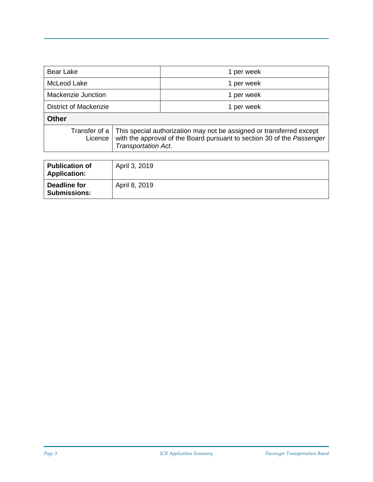| <b>Bear Lake</b>                             |                                                                                                                                                                       | 1 per week |
|----------------------------------------------|-----------------------------------------------------------------------------------------------------------------------------------------------------------------------|------------|
| McLeod Lake                                  |                                                                                                                                                                       | 1 per week |
| Mackenzie Junction                           |                                                                                                                                                                       | 1 per week |
| District of Mackenzie                        |                                                                                                                                                                       | 1 per week |
| <b>Other</b>                                 |                                                                                                                                                                       |            |
| Transfer of a<br>Licence                     | This special authorization may not be assigned or transferred except<br>with the approval of the Board pursuant to section 30 of the Passenger<br>Transportation Act. |            |
|                                              |                                                                                                                                                                       |            |
| <b>Publication of</b><br><b>Application:</b> | April 3, 2019                                                                                                                                                         |            |
| <b>Deadline for</b>                          | April 8, 2019                                                                                                                                                         |            |

**Submissions:**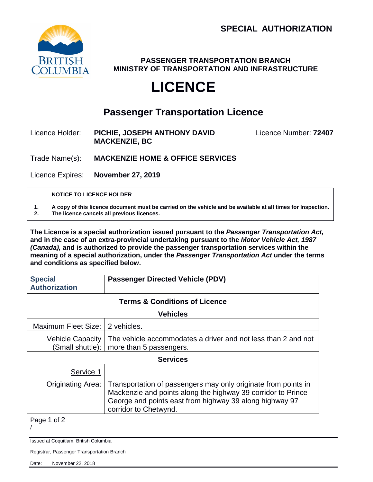

**PASSENGER TRANSPORTATION BRANCH MINISTRY OF TRANSPORTATION AND INFRASTRUCTURE**

# **LICENCE**

## **Passenger Transportation Licence**

Licence Holder: **PICHIE, JOSEPH ANTHONY DAVID** Licence Number: **72407 MACKENZIE, BC**

Trade Name(s): **MACKENZIE HOME & OFFICE SERVICES**

Licence Expires: **November 27, 2019**

#### **NOTICE TO LICENCE HOLDER**

**1. A copy of this licence document must be carried on the vehicle and be available at all times for Inspection.**

**2. The licence cancels all previous licences.**

**The Licence is a special authorization issued pursuant to the** *Passenger Transportation Act,*  **and in the case of an extra-provincial undertaking pursuant to the** *Motor Vehicle Act, 1987 (Canada),* **and is authorized to provide the passenger transportation services within the meaning of a special authorization, under the** *Passenger Transportation Act* **under the terms and conditions as specified below.**

| <b>Special</b><br><b>Authorization</b>      | <b>Passenger Directed Vehicle (PDV)</b>                                                                                                                                                                            |  |  |  |
|---------------------------------------------|--------------------------------------------------------------------------------------------------------------------------------------------------------------------------------------------------------------------|--|--|--|
| <b>Terms &amp; Conditions of Licence</b>    |                                                                                                                                                                                                                    |  |  |  |
| <b>Vehicles</b>                             |                                                                                                                                                                                                                    |  |  |  |
| Maximum Fleet Size:                         | 2 vehicles.                                                                                                                                                                                                        |  |  |  |
| <b>Vehicle Capacity</b><br>(Small shuttle): | The vehicle accommodates a driver and not less than 2 and not<br>more than 5 passengers.                                                                                                                           |  |  |  |
| <b>Services</b>                             |                                                                                                                                                                                                                    |  |  |  |
| Service 1                                   |                                                                                                                                                                                                                    |  |  |  |
| <b>Originating Area:</b>                    | Transportation of passengers may only originate from points in<br>Mackenzie and points along the highway 39 corridor to Prince<br>George and points east from highway 39 along highway 97<br>corridor to Chetwynd. |  |  |  |

Page 1 of 2 /

Issued at Coquitlam, British Columbia

Registrar, Passenger Transportation Branch